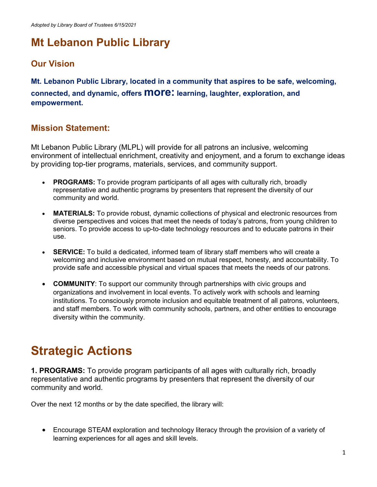## **Mt Lebanon Public Library**

## **Our Vision**

**Mt. Lebanon Public Library, located in a community that aspires to be safe, welcoming, connected, and dynamic, offers more: learning, laughter, exploration, and empowerment.**

## **Mission Statement:**

Mt Lebanon Public Library (MLPL) will provide for all patrons an inclusive, welcoming environment of intellectual enrichment, creativity and enjoyment, and a forum to exchange ideas by providing top-tier programs, materials, services, and community support.

- **PROGRAMS:** To provide program participants of all ages with culturally rich, broadly representative and authentic programs by presenters that represent the diversity of our community and world.
- **MATERIALS:** To provide robust, dynamic collections of physical and electronic resources from diverse perspectives and voices that meet the needs of today's patrons, from young children to seniors. To provide access to up-to-date technology resources and to educate patrons in their use.
- **SERVICE:** To build a dedicated, informed team of library staff members who will create a welcoming and inclusive environment based on mutual respect, honesty, and accountability. To provide safe and accessible physical and virtual spaces that meets the needs of our patrons.
- **COMMUNITY**: To support our community through partnerships with civic groups and organizations and involvement in local events. To actively work with schools and learning institutions. To consciously promote inclusion and equitable treatment of all patrons, volunteers, and staff members. To work with community schools, partners, and other entities to encourage diversity within the community.

## **Strategic Actions**

**1. PROGRAMS:** To provide program participants of all ages with culturally rich, broadly representative and authentic programs by presenters that represent the diversity of our community and world.

Over the next 12 months or by the date specified, the library will:

• Encourage STEAM exploration and technology literacy through the provision of a variety of learning experiences for all ages and skill levels.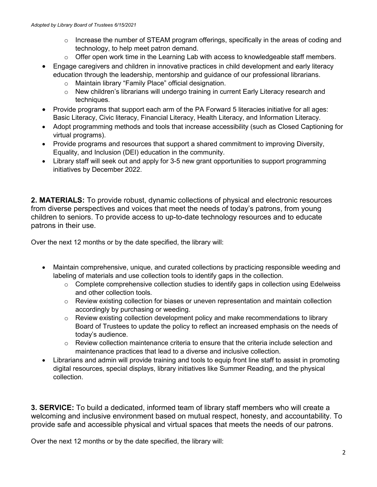- $\circ$  Increase the number of STEAM program offerings, specifically in the areas of coding and technology, to help meet patron demand.
- $\circ$  Offer open work time in the Learning Lab with access to knowledgeable staff members.
- Engage caregivers and children in innovative practices in child development and early literacy education through the leadership, mentorship and guidance of our professional librarians.
	- o Maintain library "Family Place" official designation.
	- $\circ$  New children's librarians will undergo training in current Early Literacy research and techniques.
- Provide programs that support each arm of the PA Forward 5 literacies initiative for all ages: Basic Literacy, Civic literacy, Financial Literacy, Health Literacy, and Information Literacy.
- Adopt programming methods and tools that increase accessibility (such as Closed Captioning for virtual programs).
- Provide programs and resources that support a shared commitment to improving Diversity, Equality, and Inclusion (DEI) education in the community.
- Library staff will seek out and apply for 3-5 new grant opportunities to support programming initiatives by December 2022.

**2. MATERIALS:** To provide robust, dynamic collections of physical and electronic resources from diverse perspectives and voices that meet the needs of today's patrons, from young children to seniors. To provide access to up-to-date technology resources and to educate patrons in their use.

Over the next 12 months or by the date specified, the library will:

- Maintain comprehensive, unique, and curated collections by practicing responsible weeding and labeling of materials and use collection tools to identify gaps in the collection.
	- o Complete comprehensive collection studies to identify gaps in collection using Edelweiss and other collection tools.
	- o Review existing collection for biases or uneven representation and maintain collection accordingly by purchasing or weeding.
	- $\circ$  Review existing collection development policy and make recommendations to library Board of Trustees to update the policy to reflect an increased emphasis on the needs of today's audience.
	- $\circ$  Review collection maintenance criteria to ensure that the criteria include selection and maintenance practices that lead to a diverse and inclusive collection.
- Librarians and admin will provide training and tools to equip front line staff to assist in promoting digital resources, special displays, library initiatives like Summer Reading, and the physical collection.

**3. SERVICE:** To build a dedicated, informed team of library staff members who will create a welcoming and inclusive environment based on mutual respect, honesty, and accountability. To provide safe and accessible physical and virtual spaces that meets the needs of our patrons.

Over the next 12 months or by the date specified, the library will: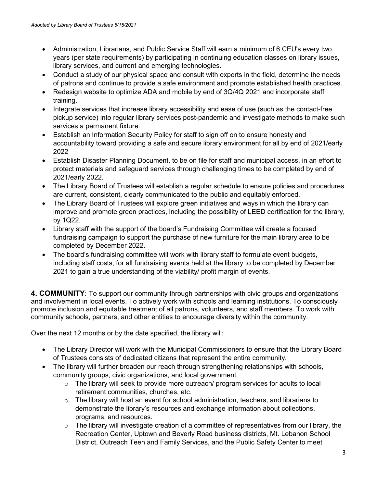- Administration, Librarians, and Public Service Staff will earn a minimum of 6 CEU's every two years (per state requirements) by participating in continuing education classes on library issues, library services, and current and emerging technologies.
- Conduct a study of our physical space and consult with experts in the field, determine the needs of patrons and continue to provide a safe environment and promote established health practices.
- Redesign website to optimize ADA and mobile by end of 3Q/4Q 2021 and incorporate staff training.
- Integrate services that increase library accessibility and ease of use (such as the contact-free pickup service) into regular library services post-pandemic and investigate methods to make such services a permanent fixture.
- Establish an Information Security Policy for staff to sign off on to ensure honesty and accountability toward providing a safe and secure library environment for all by end of 2021/early 2022
- Establish Disaster Planning Document, to be on file for staff and municipal access, in an effort to protect materials and safeguard services through challenging times to be completed by end of 2021/early 2022.
- The Library Board of Trustees will establish a regular schedule to ensure policies and procedures are current, consistent, clearly communicated to the public and equitably enforced.
- The Library Board of Trustees will explore green initiatives and ways in which the library can improve and promote green practices, including the possibility of LEED certification for the library, by 1Q22.
- Library staff with the support of the board's Fundraising Committee will create a focused fundraising campaign to support the purchase of new furniture for the main library area to be completed by December 2022.
- The board's fundraising committee will work with library staff to formulate event budgets, including staff costs, for all fundraising events held at the library to be completed by December 2021 to gain a true understanding of the viability/ profit margin of events.

**4. COMMUNITY**: To support our community through partnerships with civic groups and organizations and involvement in local events. To actively work with schools and learning institutions. To consciously promote inclusion and equitable treatment of all patrons, volunteers, and staff members. To work with community schools, partners, and other entities to encourage diversity within the community.

Over the next 12 months or by the date specified, the library will:

- The Library Director will work with the Municipal Commissioners to ensure that the Library Board of Trustees consists of dedicated citizens that represent the entire community.
- The library will further broaden our reach through strengthening relationships with schools, community groups, civic organizations, and local government.
	- $\circ$  The library will seek to provide more outreach/ program services for adults to local retirement communities, churches, etc.
	- $\circ$  The library will host an event for school administration, teachers, and librarians to demonstrate the library's resources and exchange information about collections, programs, and resources.
	- $\circ$  The library will investigate creation of a committee of representatives from our library, the Recreation Center, Uptown and Beverly Road business districts, Mt. Lebanon School District, Outreach Teen and Family Services, and the Public Safety Center to meet